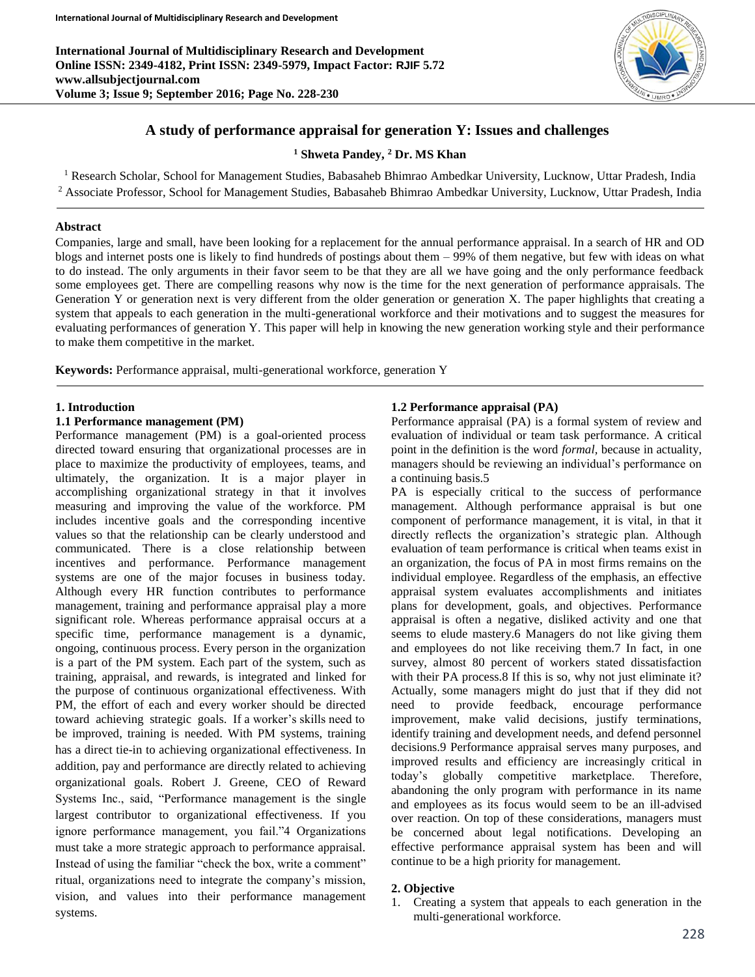**International Journal of Multidisciplinary Research and Development Online ISSN: 2349-4182, Print ISSN: 2349-5979, Impact Factor: RJIF 5.72 www.allsubjectjournal.com Volume 3; Issue 9; September 2016; Page No. 228-230**



## **A study of performance appraisal for generation Y: Issues and challenges**

**<sup>1</sup> Shweta Pandey, <sup>2</sup> Dr. MS Khan**

<sup>1</sup> Research Scholar, School for Management Studies, Babasaheb Bhimrao Ambedkar University, Lucknow, Uttar Pradesh, India <sup>2</sup> Associate Professor, School for Management Studies, Babasaheb Bhimrao Ambedkar University, Lucknow, Uttar Pradesh, India

#### **Abstract**

Companies, large and small, have been looking for a replacement for the annual performance appraisal. In a search of HR and OD blogs and internet posts one is likely to find hundreds of postings about them – 99% of them negative, but few with ideas on what to do instead. The only arguments in their favor seem to be that they are all we have going and the only performance feedback some employees get. There are compelling reasons why now is the time for the next generation of performance appraisals. The Generation Y or generation next is very different from the older generation or generation X. The paper highlights that creating a system that appeals to each generation in the multi-generational workforce and their motivations and to suggest the measures for evaluating performances of generation Y. This paper will help in knowing the new generation working style and their performance to make them competitive in the market.

**Keywords:** Performance appraisal, multi-generational workforce, generation Y

#### **1. Introduction**

#### **1.1 Performance management (PM)**

Performance management (PM) is a goal-oriented process directed toward ensuring that organizational processes are in place to maximize the productivity of employees, teams, and ultimately, the organization. It is a major player in accomplishing organizational strategy in that it involves measuring and improving the value of the workforce. PM includes incentive goals and the corresponding incentive values so that the relationship can be clearly understood and communicated. There is a close relationship between incentives and performance. Performance management systems are one of the major focuses in business today. Although every HR function contributes to performance management, training and performance appraisal play a more significant role. Whereas performance appraisal occurs at a specific time, performance management is a dynamic, ongoing, continuous process. Every person in the organization is a part of the PM system. Each part of the system, such as training, appraisal, and rewards, is integrated and linked for the purpose of continuous organizational effectiveness. With PM, the effort of each and every worker should be directed toward achieving strategic goals. If a worker's skills need to be improved, training is needed. With PM systems, training has a direct tie-in to achieving organizational effectiveness. In addition, pay and performance are directly related to achieving organizational goals. Robert J. Greene, CEO of Reward Systems Inc., said, "Performance management is the single largest contributor to organizational effectiveness. If you ignore performance management, you fail."4 Organizations must take a more strategic approach to performance appraisal. Instead of using the familiar "check the box, write a comment" ritual, organizations need to integrate the company's mission, vision, and values into their performance management systems.

## **1.2 Performance appraisal (PA)**

Performance appraisal (PA) is a formal system of review and evaluation of individual or team task performance. A critical point in the definition is the word *formal,* because in actuality, managers should be reviewing an individual's performance on a continuing basis.5

PA is especially critical to the success of performance management. Although performance appraisal is but one component of performance management, it is vital, in that it directly reflects the organization's strategic plan. Although evaluation of team performance is critical when teams exist in an organization, the focus of PA in most firms remains on the individual employee. Regardless of the emphasis, an effective appraisal system evaluates accomplishments and initiates plans for development, goals, and objectives. Performance appraisal is often a negative, disliked activity and one that seems to elude mastery.6 Managers do not like giving them and employees do not like receiving them.7 In fact, in one survey, almost 80 percent of workers stated dissatisfaction with their PA process.8 If this is so, why not just eliminate it? Actually, some managers might do just that if they did not need to provide feedback, encourage performance improvement, make valid decisions, justify terminations, identify training and development needs, and defend personnel decisions.9 Performance appraisal serves many purposes, and improved results and efficiency are increasingly critical in today's globally competitive marketplace. Therefore, abandoning the only program with performance in its name and employees as its focus would seem to be an ill-advised over reaction. On top of these considerations, managers must be concerned about legal notifications. Developing an effective performance appraisal system has been and will continue to be a high priority for management.

#### **2. Objective**

1. Creating a system that appeals to each generation in the multi-generational workforce.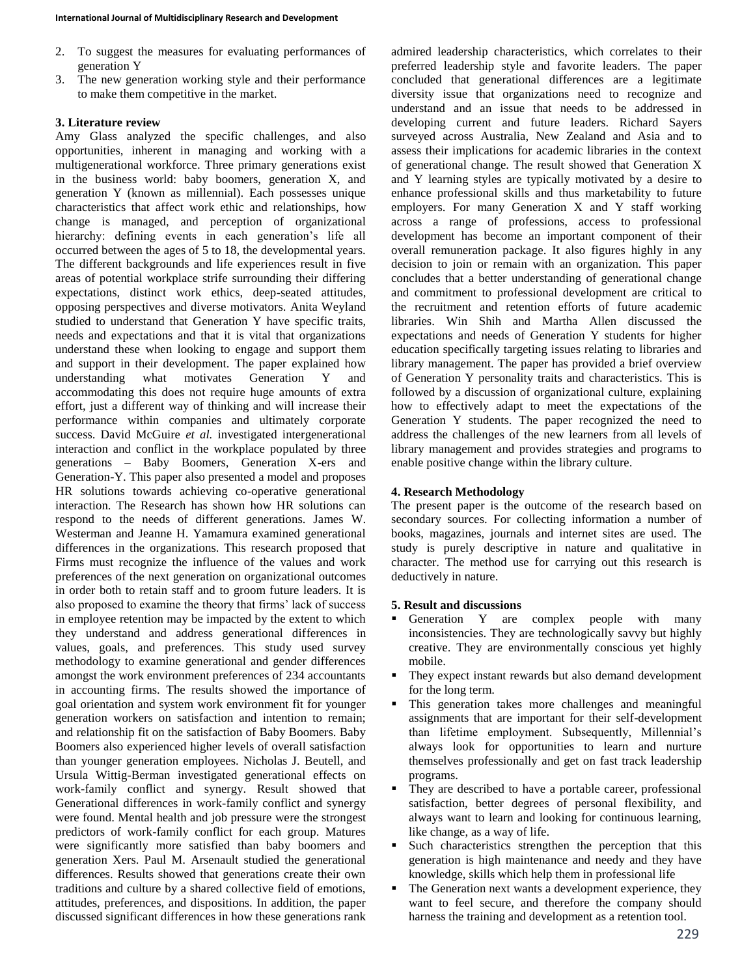- 2. To suggest the measures for evaluating performances of generation Y
- 3. The new generation working style and their performance to make them competitive in the market.

## **3. Literature review**

Amy Glass analyzed the specific challenges, and also opportunities, inherent in managing and working with a multigenerational workforce. Three primary generations exist in the business world: baby boomers, generation X, and generation Y (known as millennial). Each possesses unique characteristics that affect work ethic and relationships, how change is managed, and perception of organizational hierarchy: defining events in each generation's life all occurred between the ages of 5 to 18, the developmental years. The different backgrounds and life experiences result in five areas of potential workplace strife surrounding their differing expectations, distinct work ethics, deep-seated attitudes, opposing perspectives and diverse motivators. Anita Weyland studied to understand that Generation Y have specific traits, needs and expectations and that it is vital that organizations understand these when looking to engage and support them and support in their development. The paper explained how understanding what motivates Generation Y and accommodating this does not require huge amounts of extra effort, just a different way of thinking and will increase their performance within companies and ultimately corporate success. David McGuire *et al.* investigated intergenerational interaction and conflict in the workplace populated by three generations – Baby Boomers, Generation X-ers and Generation-Y. This paper also presented a model and proposes HR solutions towards achieving co-operative generational interaction. The Research has shown how HR solutions can respond to the needs of different generations. James W. Westerman and Jeanne H. Yamamura examined generational differences in the organizations. This research proposed that Firms must recognize the influence of the values and work preferences of the next generation on organizational outcomes in order both to retain staff and to groom future leaders. It is also proposed to examine the theory that firms' lack of success in employee retention may be impacted by the extent to which they understand and address generational differences in values, goals, and preferences. This study used survey methodology to examine generational and gender differences amongst the work environment preferences of 234 accountants in accounting firms. The results showed the importance of goal orientation and system work environment fit for younger generation workers on satisfaction and intention to remain; and relationship fit on the satisfaction of Baby Boomers. Baby Boomers also experienced higher levels of overall satisfaction than younger generation employees. Nicholas J. Beutell, and Ursula Wittig-Berman investigated generational effects on work-family conflict and synergy. Result showed that Generational differences in work-family conflict and synergy were found. Mental health and job pressure were the strongest predictors of work-family conflict for each group. Matures were significantly more satisfied than baby boomers and generation Xers. Paul M. Arsenault studied the generational differences. Results showed that generations create their own traditions and culture by a shared collective field of emotions, attitudes, preferences, and dispositions. In addition, the paper discussed significant differences in how these generations rank

admired leadership characteristics, which correlates to their preferred leadership style and favorite leaders. The paper concluded that generational differences are a legitimate diversity issue that organizations need to recognize and understand and an issue that needs to be addressed in developing current and future leaders. Richard Sayers surveyed across Australia, New Zealand and Asia and to assess their implications for academic libraries in the context of generational change. The result showed that Generation X and Y learning styles are typically motivated by a desire to enhance professional skills and thus marketability to future employers. For many Generation X and Y staff working across a range of professions, access to professional development has become an important component of their overall remuneration package. It also figures highly in any decision to join or remain with an organization. This paper concludes that a better understanding of generational change and commitment to professional development are critical to the recruitment and retention efforts of future academic libraries. Win Shih and Martha Allen discussed the expectations and needs of Generation Y students for higher education specifically targeting issues relating to libraries and library management. The paper has provided a brief overview of Generation Y personality traits and characteristics. This is followed by a discussion of organizational culture, explaining how to effectively adapt to meet the expectations of the Generation Y students. The paper recognized the need to address the challenges of the new learners from all levels of library management and provides strategies and programs to enable positive change within the library culture.

## **4. Research Methodology**

The present paper is the outcome of the research based on secondary sources. For collecting information a number of books, magazines, journals and internet sites are used. The study is purely descriptive in nature and qualitative in character. The method use for carrying out this research is deductively in nature.

### **5. Result and discussions**

- Generation Y are complex people with many inconsistencies. They are technologically savvy but highly creative. They are environmentally conscious yet highly mobile.
- They expect instant rewards but also demand development for the long term.
- This generation takes more challenges and meaningful assignments that are important for their self-development than lifetime employment. Subsequently, Millennial's always look for opportunities to learn and nurture themselves professionally and get on fast track leadership programs.
- They are described to have a portable career, professional satisfaction, better degrees of personal flexibility, and always want to learn and looking for continuous learning, like change, as a way of life.
- Such characteristics strengthen the perception that this generation is high maintenance and needy and they have knowledge, skills which help them in professional life
- The Generation next wants a development experience, they want to feel secure, and therefore the company should harness the training and development as a retention tool.